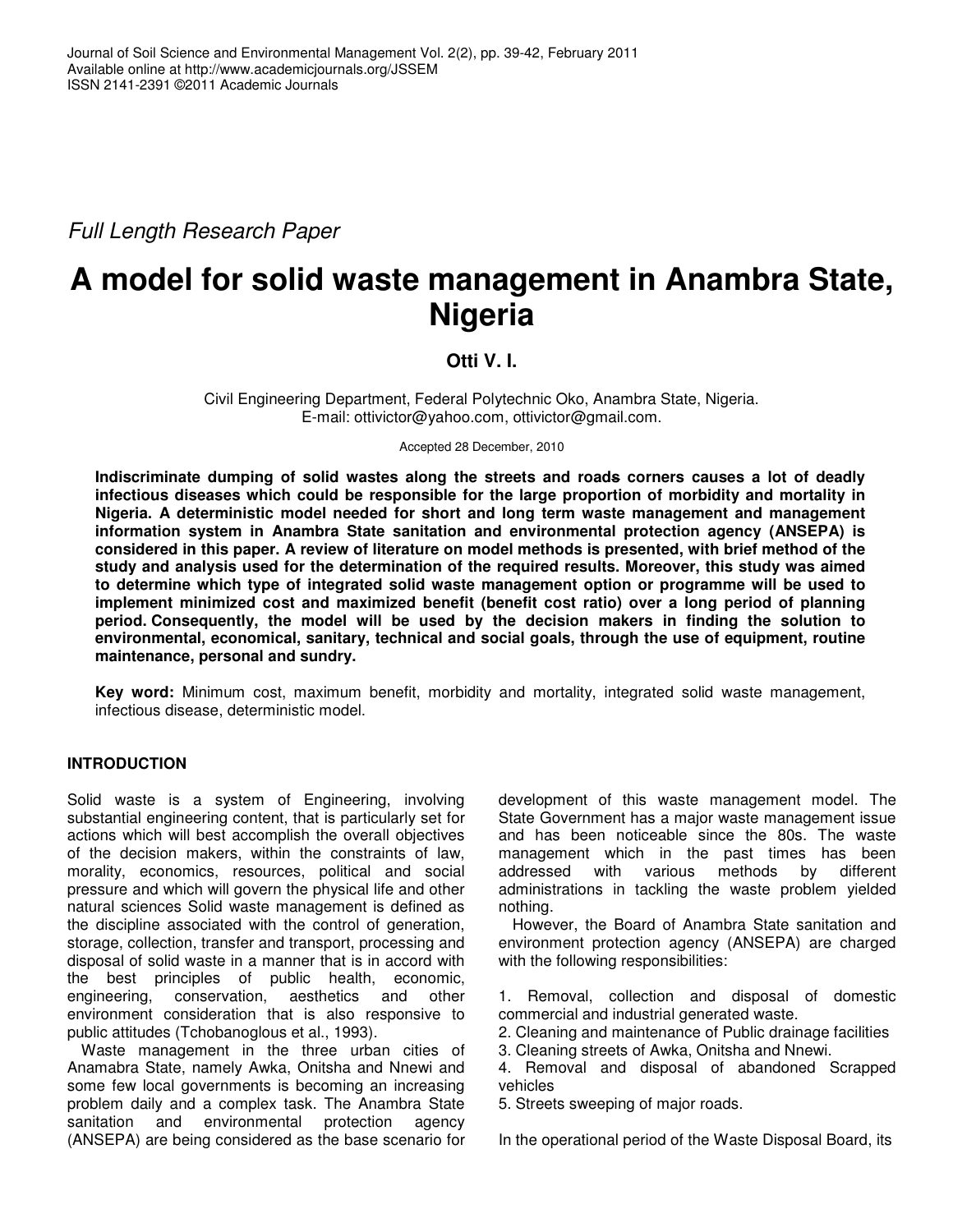*Full Length Research Paper*

# **A model for solid waste management in Anambra State, Nigeria**

## **Otti V. I.**

Civil Engineering Department, Federal Polytechnic Oko, Anambra State, Nigeria. E-mail: ottivictor@yahoo.com, ottivictor@gmail.com.

Accepted 28 December, 2010

**Indiscriminate dumping of solid wastes along the streets and roads corners causes a lot of deadly infectious diseases which could be responsible for the large proportion of morbidity and mortality in Nigeria. A deterministic model needed for short and long term waste management and management information system in Anambra State sanitation and environmental protection agency (ANSEPA) is** considered in this paper. A review of literature on model methods is presented, with brief method of the **study and analysis used for the determination of the required results. Moreover, this study was aimed to determine which type of integrated solid waste management option or programme will be used to implement minimized cost and maximized benefit (benefit cost ratio) over a long period of planning period. Consequently, the model will be used by the decision makers in finding the solution to environmental, economical, sanitary, technical and social goals, through the use of equipment, routine maintenance, personal and sundry.**

**Key word:** Minimum cost, maximum benefit, morbidity and mortality, integrated solid waste management, infectious disease, deterministic model.

## **INTRODUCTION**

Solid waste is a system of Engineering, involving substantial engineering content, that is particularly set for actions which will best accomplish the overall objectives of the decision makers, within the constraints of law, morality, economics, resources, political and social pressure and which will govern the physical life and other natural sciences Solid waste management is defined as the discipline associated with the control of generation, storage, collection, transfer and transport, processing and disposal of solid waste in a manner that is in accord with the best principles of public health, economic, engineering, conservation, aesthetics and other environment consideration that is also responsive to public attitudes (Tchobanoglous et al., 1993).

Waste management in the three urban cities of Anamabra State, namely Awka, Onitsha and Nnewi and some few local governments is becoming an increasing problem daily and a complex task. The Anambra State sanitation and environmental protection agency (ANSEPA) are being considered as the base scenario for development of this waste management model. The State Government has a major waste management issue and has been noticeable since the 80s. The waste management which in the past times has been<br>addressed with various methods by different with various methods by different administrations in tackling the waste problem yielded nothing.

However, the Board of Anambra State sanitation and environment protection agency (ANSEPA) are charged with the following responsibilities:

1. Removal, collection and disposal of domestic commercial and industrial generated waste.

- 2. Cleaning and maintenance of Public drainage facilities
- 3. Cleaning streets of Awka, Onitsha and Nnewi.

4. Removal and disposal of abandoned Scrapped vehicles

5. Streets sweeping of major roads.

In the operational period of the Waste Disposal Board, its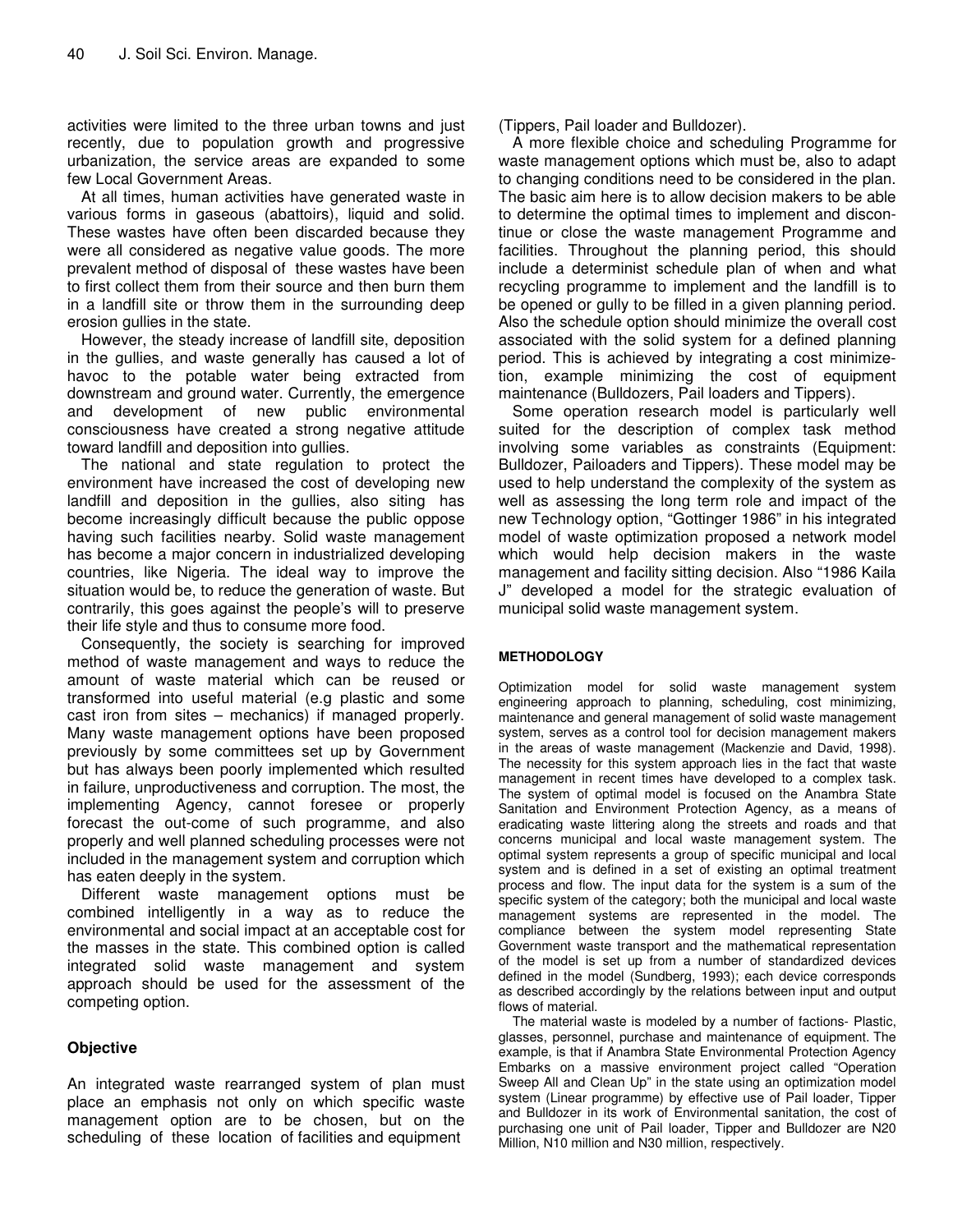activities were limited to the three urban towns and just recently, due to population growth and progressive urbanization, the service areas are expanded to some few Local Government Areas.

At all times, human activities have generated waste in various forms in gaseous (abattoirs), liquid and solid. These wastes have often been discarded because they were all considered as negative value goods. The more prevalent method of disposal of these wastes have been to first collect them from their source and then burn them in a landfill site or throw them in the surrounding deep erosion gullies in the state.

However, the steady increase of landfill site, deposition in the gullies, and waste generally has caused a lot of havoc to the potable water being extracted from downstream and ground water. Currently, the emergence and development of new public environmental consciousness have created a strong negative attitude toward landfill and deposition into gullies.

The national and state regulation to protect the environment have increased the cost of developing new landfill and deposition in the gullies, also siting has become increasingly difficult because the public oppose having such facilities nearby. Solid waste management has become a major concern in industrialized developing countries, like Nigeria. The ideal way to improve the situation would be, to reduce the generation of waste. But contrarily, this goes against the people's will to preserve their life style and thus to consume more food.

Consequently, the society is searching for improved method of waste management and ways to reduce the amount of waste material which can be reused or transformed into useful material (e.g plastic and some cast iron from sites – mechanics) if managed properly. Many waste management options have been proposed previously by some committees set up by Government but has always been poorly implemented which resulted in failure, unproductiveness and corruption. The most, the implementing Agency, cannot foresee or properly forecast the out-come of such programme, and also properly and well planned scheduling processes were not included in the management system and corruption which has eaten deeply in the system.

Different waste management options must be combined intelligently in a way as to reduce the environmental and social impact at an acceptable cost for the masses in the state. This combined option is called integrated solid waste management and system approach should be used for the assessment of the competing option.

## **Objective**

An integrated waste rearranged system of plan must place an emphasis not only on which specific waste management option are to be chosen, but on the scheduling of these location of facilities and equipment

(Tippers, Pail loader and Bulldozer).

A more flexible choice and scheduling Programme for waste management options which must be, also to adapt to changing conditions need to be considered in the plan. The basic aim here is to allow decision makers to be able to determine the optimal times to implement and discontinue or close the waste management Programme and facilities. Throughout the planning period, this should include a determinist schedule plan of when and what recycling programme to implement and the landfill is to be opened or gully to be filled in a given planning period. Also the schedule option should minimize the overall cost associated with the solid system for a defined planning period. This is achieved by integrating a cost minimizetion, example minimizing the cost of equipment maintenance (Bulldozers, Pail loaders and Tippers).

Some operation research model is particularly well suited for the description of complex task method involving some variables as constraints (Equipment: Bulldozer, Pailoaders and Tippers). These model may be used to help understand the complexity of the system as well as assessing the long term role and impact of the new Technology option, "Gottinger 1986" in his integrated model of waste optimization proposed a network model which would help decision makers in the waste management and facility sitting decision. Also "1986 Kaila J" developed a model for the strategic evaluation of municipal solid waste management system.

#### **METHODOLOGY**

Optimization model for solid waste management system engineering approach to planning, scheduling, cost minimizing, maintenance and general management of solid waste management system, serves as a control tool for decision management makers in the areas of waste management (Mackenzie and David, 1998). The necessity for this system approach lies in the fact that waste management in recent times have developed to a complex task. The system of optimal model is focused on the Anambra State Sanitation and Environment Protection Agency, as a means of eradicating waste littering along the streets and roads and that concerns municipal and local waste management system. The optimal system represents a group of specific municipal and local system and is defined in a set of existing an optimal treatment process and flow. The input data for the system is a sum of the specific system of the category; both the municipal and local waste management systems are represented in the model. The compliance between the system model representing State Government waste transport and the mathematical representation of the model is set up from a number of standardized devices defined in the model (Sundberg, 1993); each device corresponds as described accordingly by the relations between input and output flows of material.

The material waste is modeled by a number of factions- Plastic, glasses, personnel, purchase and maintenance of equipment. The example, is that if Anambra State Environmental Protection Agency Embarks on a massive environment project called "Operation Sweep All and Clean Up" in the state using an optimization model system (Linear programme) by effective use of Pail loader, Tipper and Bulldozer in its work of Environmental sanitation, the cost of purchasing one unit of Pail loader, Tipper and Bulldozer are N20 Million, N10 million and N30 million, respectively.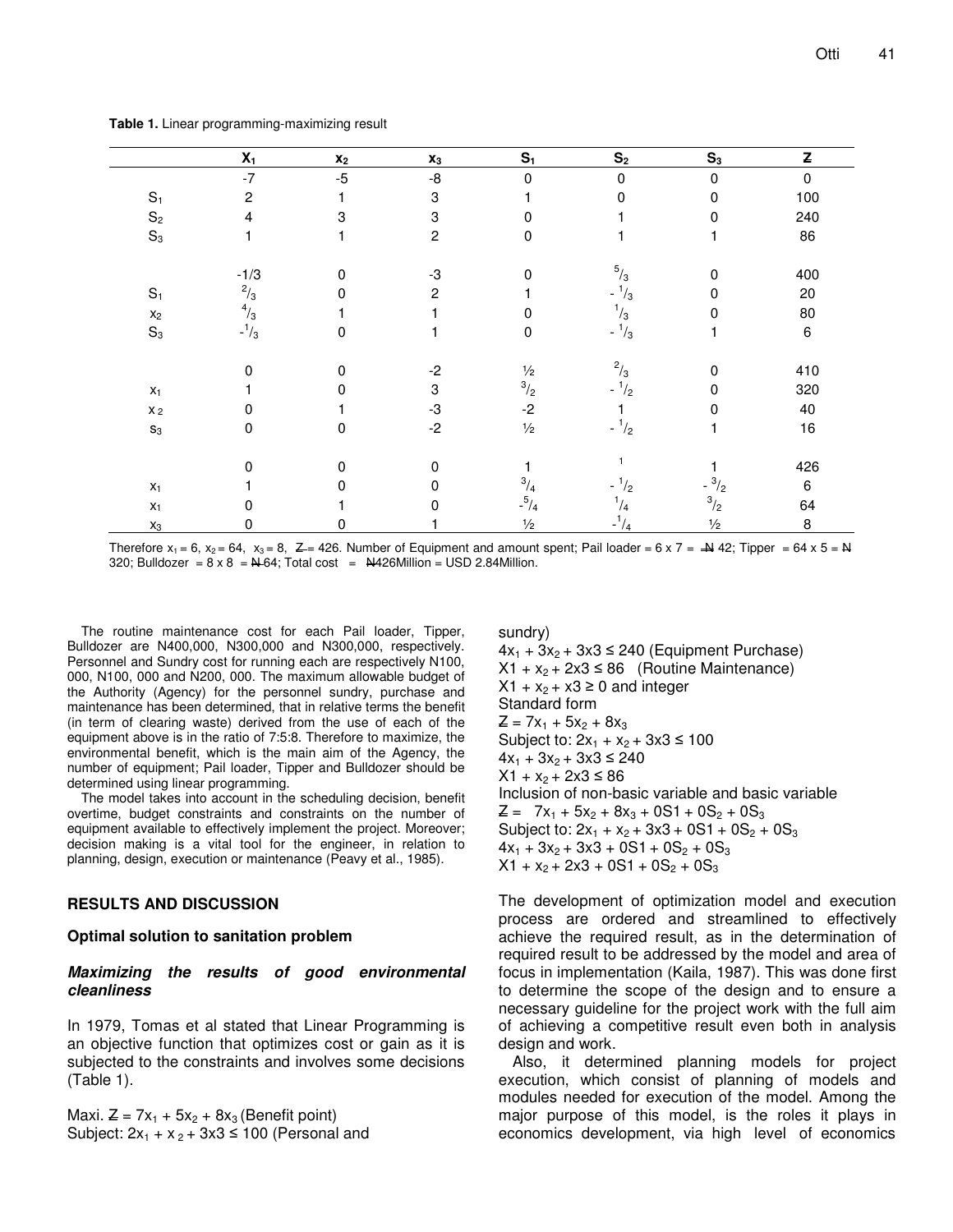**Table 1.** Linear programming-maximizing result

|                 | $X_1$       | $\pmb{\chi}_2$ | $\mathbf{x}_3$ | S <sub>1</sub> | S <sub>2</sub>                          | $S_3$           | Z     |
|-----------------|-------------|----------------|----------------|----------------|-----------------------------------------|-----------------|-------|
|                 | $-7$        | $-5$           | -8             | 0              | $\Omega$                                | $\mathbf 0$     | 0     |
| $S_1$           | 2           |                | 3              |                | 0                                       | 0               | 100   |
| $\mathbb{S}_2$  | 4           | 3              | 3              |                |                                         | 0               | 240   |
| $\mathbb{S}_3$  |             |                | $\overline{c}$ | 0              |                                         |                 | 86    |
|                 | $-1/3$      | $\mathbf 0$    | -3             | 0              | $^{5}/_3$                               | 0               | 400   |
| $\mathbb{S}_1$  | $^{2}/_{3}$ | $\Omega$       | $\overline{2}$ |                | $^{1}/_{3}$<br>$\overline{\phantom{0}}$ | 0               | 20    |
| $\mathsf{X}_2$  | $^{4}/_{3}$ |                |                |                | $^{1}/_{3}$                             | 0               | 80    |
| $\mathbb{S}_3$  | $-1/3$      | $\mathbf 0$    |                | 0              | $-1/3$                                  |                 | $\,6$ |
|                 | 0           | 0              | $-2$           | $\frac{1}{2}$  | $^2/_{3}$                               | $\Omega$        | 410   |
| $\mathsf{X}_1$  |             | $\Omega$       | 3              | $\frac{3}{2}$  | $-1/2$                                  | 0               | 320   |
| $\mathsf{X}\,2$ | 0           |                | -3             | $-2$           |                                         | 0               | 40    |
| $\mathbf{S}_3$  | 0           | $\Omega$       | $-2$           | $\frac{1}{2}$  | $-1/2$                                  |                 | 16    |
|                 | 0           | $\mathbf 0$    | $\mathbf 0$    |                |                                         |                 | 426   |
| $\mathsf{X}_1$  |             | $\Omega$       | 0              | $^{3}/_{4}$    | $^{1}/_{2}$<br>$\overline{\phantom{0}}$ | $- \frac{3}{2}$ | 6     |
| $\mathsf{X}_1$  | 0           |                | 0              | $-{}^{5}/_{4}$ | $^{1}/_{4}$                             | $\frac{3}{2}$   | 64    |
| $\mathsf{X}_3$  | 0           | 0              |                | $\frac{1}{2}$  | $-1/4$                                  | $\frac{1}{2}$   | 8     |

Therefore  $x_1 = 6$ ,  $x_2 = 64$ ,  $x_3 = 8$ ,  $Z = 426$ . Number of Equipment and amount spent; Pail loader = 6 x 7 =  $\rightarrow$  42; Tipper = 64 x 5 = N 320; Bulldozer =  $8 \times 8$  =  $N = 64$ ; Total cost =  $N = 426$ Million = USD 2.84Million.

The routine maintenance cost for each Pail loader, Tipper, Bulldozer are N400,000, N300,000 and N300,000, respectively. Personnel and Sundry cost for running each are respectively N100, 000, N100, 000 and N200, 000. The maximum allowable budget of the Authority (Agency) for the personnel sundry, purchase and maintenance has been determined, that in relative terms the benefit (in term of clearing waste) derived from the use of each of the equipment above is in the ratio of 7:5:8. Therefore to maximize, the environmental benefit, which is the main aim of the Agency, the number of equipment; Pail loader, Tipper and Bulldozer should be determined using linear programming.

The model takes into account in the scheduling decision, benefit overtime, budget constraints and constraints on the number of equipment available to effectively implement the project. Moreover; decision making is a vital tool for the engineer, in relation to planning, design, execution or maintenance (Peavy et al., 1985).

#### **RESULTS AND DISCUSSION**

#### **Optimal solution to sanitation problem**

#### *Maximizing the results of good environmental cleanliness*

In 1979, Tomas et al stated that Linear Programming is an objective function that optimizes cost or gain as it is subjected to the constraints and involves some decisions (Table 1).

Maxi.  $Z = 7x_1 + 5x_2 + 8x_3$  (Benefit point) Subject:  $2x_1 + x_2 + 3x3 \le 100$  (Personal and sundry)

 $4x_1 + 3x_2 + 3x3 \le 240$  (Equipment Purchase)  $X1 + x_2 + 2x3 \le 86$  (Routine Maintenance)  $X1 + x_2 + x3 \ge 0$  and integer Standard form  $Z = 7x_1 + 5x_2 + 8x_3$ Subject to:  $2x_1 + x_2 + 3x3 \le 100$  $4x_1 + 3x_2 + 3x3 \le 240$  $X1 + X_2 + 2X3 \le 86$ Inclusion of non-basic variable and basic variable  $Z = 7x_1 + 5x_2 + 8x_3 + 0S_1 + 0S_2 + 0S_3$ Subject to:  $2x_1 + x_2 + 3x3 + 0S1 + 0S_2 + 0S_3$  $4x_1 + 3x_2 + 3x_3 + 0S_1 + 0S_2 + 0S_3$  $X1 + x_2 + 2x3 + 0S1 + 0S_2 + 0S_3$ 

The development of optimization model and execution process are ordered and streamlined to effectively achieve the required result, as in the determination of required result to be addressed by the model and area of focus in implementation (Kaila, 1987). This was done first to determine the scope of the design and to ensure a necessary guideline for the project work with the full aim of achieving a competitive result even both in analysis design and work.

Also, it determined planning models for project execution, which consist of planning of models and modules needed for execution of the model. Among the major purpose of this model, is the roles it plays in economics development, via high level of economics